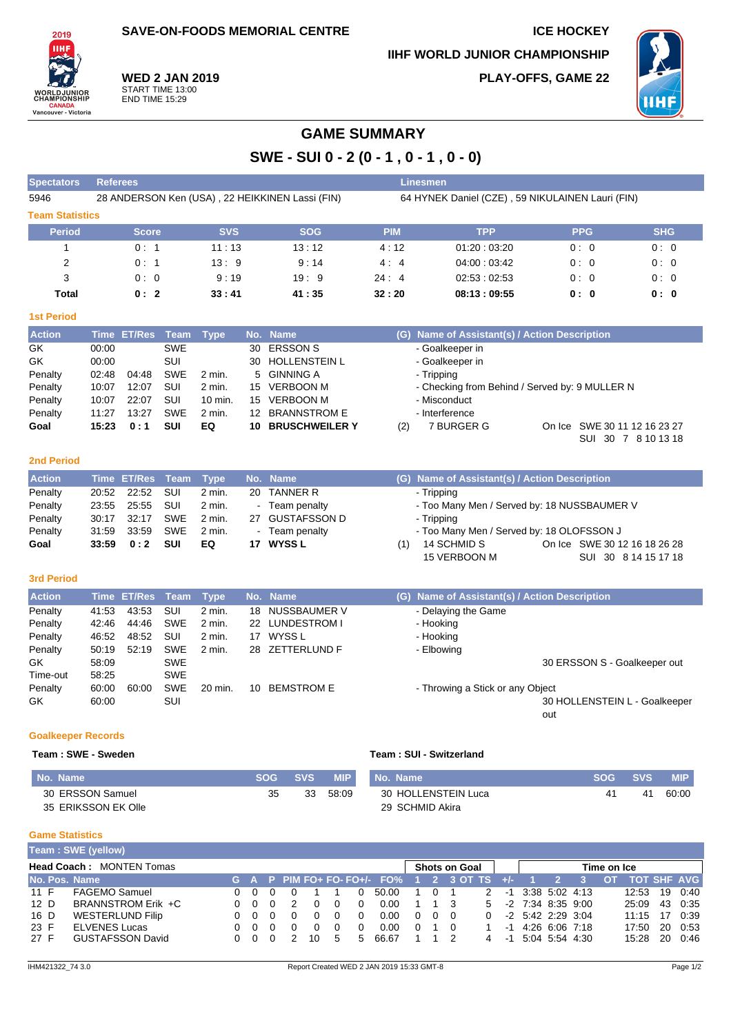**SAVE-ON-FOODS MEMORIAL CENTRE ICE HOCKEY** 

**IIHF WORLD JUNIOR CHAMPIONSHIP PLAY-OFFS, GAME 22** ИНГ



**WED 2 JAN 2019** START TIME 13:00 END TIME 15:29

# **GAME SUMMARY**

**SWE - SUI 0 - 2 (0 - 1 , 0 - 1 , 0 - 0)**

| <b>Spectators</b>      | <b>Referees</b>                                 |            |            |            | Linesmen                                         |            |            |  |  |  |  |  |  |  |
|------------------------|-------------------------------------------------|------------|------------|------------|--------------------------------------------------|------------|------------|--|--|--|--|--|--|--|
| 5946                   | 28 ANDERSON Ken (USA), 22 HEIKKINEN Lassi (FIN) |            |            |            | 64 HYNEK Daniel (CZE), 59 NIKULAINEN Lauri (FIN) |            |            |  |  |  |  |  |  |  |
| <b>Team Statistics</b> |                                                 |            |            |            |                                                  |            |            |  |  |  |  |  |  |  |
| <b>Period</b>          | <b>Score</b>                                    | <b>SVS</b> | <b>SOG</b> | <b>PIM</b> | <b>TPP</b>                                       | <b>PPG</b> | <b>SHG</b> |  |  |  |  |  |  |  |
|                        | 0:1                                             | 11:13      | 13:12      | 4:12       | 01:20:03:20                                      | 0:0        | 0:0        |  |  |  |  |  |  |  |
| 2                      | 0:1                                             | 13:9       | 9:14       | 4:4        | 04:00:03:42                                      | 0:0        | 0:0        |  |  |  |  |  |  |  |
| 3                      | 0:0                                             | 9:19       | 19:9       | 24:4       | 02:53:02:53                                      | 0:0        | 0:0        |  |  |  |  |  |  |  |
| Total                  | 0:2                                             | 33:41      | 41:35      | 32:20      | 08:13:09:55                                      | 0:0        | 0:0        |  |  |  |  |  |  |  |

# **1st Period**

| <b>Action</b> |       | Time ET/Res Team Type |            |          |     | No. Name          | (G) Name of Assistant(s) / Action Description |                                                |  |                              |  |  |  |  |  |
|---------------|-------|-----------------------|------------|----------|-----|-------------------|-----------------------------------------------|------------------------------------------------|--|------------------------------|--|--|--|--|--|
| GK            | 00:00 |                       | <b>SWE</b> |          |     | 30 ERSSON S       |                                               | - Goalkeeper in                                |  |                              |  |  |  |  |  |
| GK            | 00:00 |                       | SUI        |          |     | 30 HOLLENSTEIN L  | - Goalkeeper in                               |                                                |  |                              |  |  |  |  |  |
| Penalty       | 02:48 | 04:48                 | <b>SWE</b> | $2$ min. |     | 5 GINNING A       |                                               | - Tripping                                     |  |                              |  |  |  |  |  |
| Penalty       | 10:07 | 12:07                 | SUI        | $2$ min. |     | 15 VERBOON M      |                                               | - Checking from Behind / Served by: 9 MULLER N |  |                              |  |  |  |  |  |
| Penalty       | 10:07 | 22:07                 | SUI        | 10 min.  | 15. | VERBOON M         |                                               | - Misconduct                                   |  |                              |  |  |  |  |  |
| Penalty       | 11:27 | 13:27                 | <b>SWE</b> | $2$ min. |     | 12 BRANNSTROM E   |                                               | - Interference                                 |  |                              |  |  |  |  |  |
| Goal          | 15:23 | 0:1                   | <b>SUI</b> | EQ       |     | 10 BRUSCHWEILER Y | (2)                                           | 7 BURGER G                                     |  | On Ice SWE 30 11 12 16 23 27 |  |  |  |  |  |
|               |       |                       |            |          |     |                   |                                               |                                                |  | 30 7 8 10 13 18<br>SUI       |  |  |  |  |  |

# **2nd Period**

| <b>Action</b> |       | Time ET/Res Team Type |            |          |    | No. Name        |     | (G) Name of Assistant(s) / Action Description |                              |
|---------------|-------|-----------------------|------------|----------|----|-----------------|-----|-----------------------------------------------|------------------------------|
| Penalty       | 20:52 | 22:52                 | - SUI      | $2$ min. |    | 20 TANNER R     |     | - Tripping                                    |                              |
| Penalty       | 23:55 | 25:55                 | SUI        | 2 min.   |    | - Team penalty  |     | - Too Many Men / Served by: 18 NUSSBAUMER V   |                              |
| Penalty       | 30:17 | 32:17                 | SWE        | 2 min.   |    | 27 GUSTAFSSON D |     | - Tripping                                    |                              |
| Penalty       | 31:59 | 33:59                 | SWE        | 2 min.   |    | - Team penalty  |     | - Too Many Men / Served by: 18 OLOFSSON J     |                              |
| Goal          | 33:59 | 0:2                   | <b>SUI</b> | EQ       | 17 | <b>WYSS L</b>   | (1) | 14 SCHMID S                                   | On Ice SWE 30 12 16 18 26 28 |
|               |       |                       |            |          |    |                 |     | 15 VERBOON M                                  | SUI 30 8 14 15 17 18         |

### **3rd Period**

| <b>Action</b> |       | Time ET/Res Team Type |            |          |    | No. Name          | (G) Name of Assistant(s) / Action Description |
|---------------|-------|-----------------------|------------|----------|----|-------------------|-----------------------------------------------|
| Penalty       | 41:53 | 43:53                 | SUI        | $2$ min. | 18 | NUSSBAUMER V      | - Delaying the Game                           |
| Penalty       | 42:46 | 44:46                 | <b>SWE</b> | $2$ min. |    | 22 LUNDESTROM I   | - Hooking                                     |
| Penalty       | 46:52 | 48:52                 | SUI        | $2$ min. |    | 17 WYSS L         | - Hooking                                     |
| Penalty       | 50:19 | 52:19                 | <b>SWE</b> | $2$ min. |    | 28 ZETTERLUND F   | - Elbowing                                    |
| GK            | 58:09 |                       | <b>SWE</b> |          |    |                   | 30 ERSSON S - Goalkeeper out                  |
| Time-out      | 58:25 |                       | <b>SWE</b> |          |    |                   |                                               |
| Penalty       | 60:00 | 60:00                 | <b>SWE</b> | 20 min.  | 10 | <b>BEMSTROM E</b> | - Throwing a Stick or any Object              |
| GK            | 60:00 |                       | SUI        |          |    |                   | 30 HOLLENSTEIN L - Goalkeeper                 |
|               |       |                       |            |          |    |                   | out                                           |

# **Goalkeeper Records**

#### **Team : SWE - Sweden Team : SUI - Switzerland**

| No. Name            |    | SOG SVS | <b>MIP</b> | No. Name            | SOG SVS |    | <b>MIP</b> |
|---------------------|----|---------|------------|---------------------|---------|----|------------|
| 30 ERSSON Samuel    | 35 | 33      | 58:09      | 30 HOLLENSTEIN Luca |         | 41 | 60:00      |
| 35 ERIKSSON EK Olle |    |         |            | 29 SCHMID Akira     |         |    |            |

#### **Game Statistics**

|                                 | Team: SWE (yellow)      |  |                |     |  |          |          |   |                             |          |          |                      |                |  |                     |  |                     |           |                    |    |         |
|---------------------------------|-------------------------|--|----------------|-----|--|----------|----------|---|-----------------------------|----------|----------|----------------------|----------------|--|---------------------|--|---------------------|-----------|--------------------|----|---------|
| <b>Head Coach: MONTEN Tomas</b> |                         |  |                |     |  |          |          |   |                             |          |          | <b>Shots on Goal</b> |                |  | Time on Ice         |  |                     |           |                    |    |         |
| No. Pos. Name                   |                         |  |                |     |  |          |          |   | G A P PIM FO+ FO- FO+/- FO% |          |          | 1 2 3 OT TS $+/-$    |                |  |                     |  |                     | <b>OT</b> | <b>TOT SHF AVG</b> |    |         |
| 11 F                            | <b>FAGEMO Samuel</b>    |  | 0 O            |     |  |          |          |   | 50.00                       |          | $\Omega$ |                      | 2              |  |                     |  | $-1$ 3:38 5:02 4:13 |           | 12:53              |    | 19 0:40 |
| 12 D                            | BRANNSTROM Erik +C      |  | 000            |     |  |          |          |   | 0.00                        |          |          |                      | 5 <sup>5</sup> |  | $-2$ 7:34 8:35 9:00 |  |                     |           | 25:09              |    | 43 0:35 |
| 16 D                            | WESTERLUND Filip        |  | 0 <sub>0</sub> |     |  |          | 0        |   | 0.00                        | $\Omega$ |          | 0 O                  | 0              |  | $-2$ 5:42 2:29 3:04 |  |                     |           | 11:15              | 17 | 0:39    |
| 23 F                            | <b>ELVENES Lucas</b>    |  | 0 O            | - 0 |  | $\Omega$ | $\Omega$ |   | 0.00                        | $\Omega$ |          |                      |                |  | $-1$ 4:26 6:06 7:18 |  |                     |           | 17:50              |    | 20 0:53 |
| 27 F                            | <b>GUSTAFSSON David</b> |  | 000            |     |  | 10.      | .5       | 5 | 66.67                       |          |          |                      | 4              |  | $-1$ 5:04 5:54 4:30 |  |                     |           | 15:28              |    | 20 0:46 |